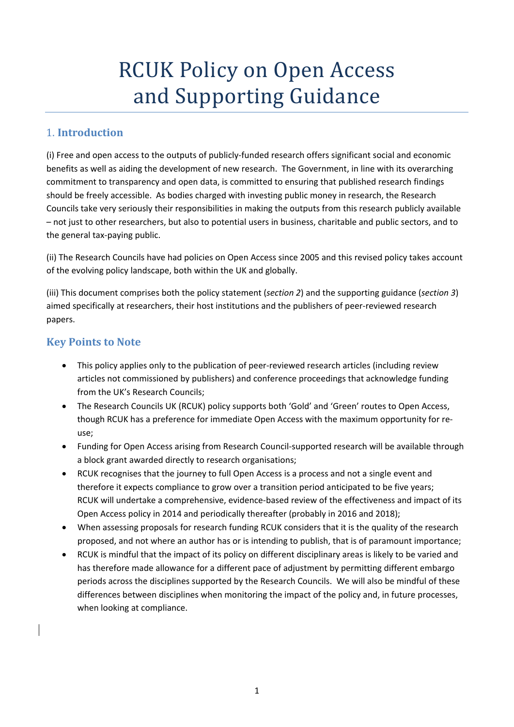# **RCUK Policy on Open Access** and Supporting Guidance

#### 1. **Introduction**

(i) Free and open access to the outputs of publicly‐funded research offers significant social and economic benefits as well as aiding the development of new research. The Government, in line with its overarching commitment to transparency and open data, is committed to ensuring that published research findings should be freely accessible. As bodies charged with investing public money in research, the Research Councils take very seriously their responsibilities in making the outputs from this research publicly available – not just to other researchers, but also to potential users in business, charitable and public sectors, and to the general tax‐paying public.

(ii) The Research Councils have had policies on Open Access since 2005 and this revised policy takes account of the evolving policy landscape, both within the UK and globally.

(iii) This document comprises both the policy statement (*section 2*) and the supporting guidance (*section 3*) aimed specifically at researchers, their host institutions and the publishers of peer‐reviewed research papers.

#### **Key Points to Note**

- This policy applies only to the publication of peer‐reviewed research articles (including review articles not commissioned by publishers) and conference proceedings that acknowledge funding from the UK's Research Councils;
- The Research Councils UK (RCUK) policy supports both 'Gold' and 'Green' routes to Open Access, though RCUK has a preference for immediate Open Access with the maximum opportunity for re‐ use;
- Funding for Open Access arising from Research Council‐supported research will be available through a block grant awarded directly to research organisations;
- RCUK recognises that the journey to full Open Access is a process and not a single event and therefore it expects compliance to grow over a transition period anticipated to be five years; RCUK will undertake a comprehensive, evidence-based review of the effectiveness and impact of its Open Access policy in 2014 and periodically thereafter (probably in 2016 and 2018);
- When assessing proposals for research funding RCUK considers that it is the quality of the research proposed, and not where an author has or is intending to publish, that is of paramount importance;
- RCUK is mindful that the impact of its policy on different disciplinary areas is likely to be varied and has therefore made allowance for a different pace of adjustment by permitting different embargo periods across the disciplines supported by the Research Councils. We will also be mindful of these differences between disciplines when monitoring the impact of the policy and, in future processes, when looking at compliance.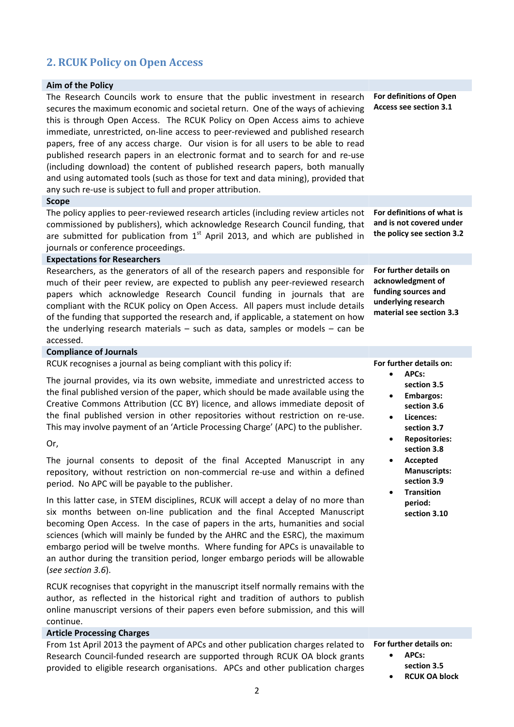# **2. RCUK Policy on Open Access**

#### **Aim of the Policy** The Research Councils work to ensure that the public investment in research secures the maximum economic and societal return. One of the ways of achieving this is through Open Access. The RCUK Policy on Open Access aims to achieve immediate, unrestricted, on‐line access to peer‐reviewed and published research papers, free of any access charge. Our vision is for all users to be able to read published research papers in an electronic format and to search for and re‐use (including download) the content of published research papers, both manually and using automated tools (such as those for text and data mining), provided that any such re-use is subject to full and proper attribution. **For definitions of Open Access see section 3.1 Scope** The policy applies to peer‐reviewed research articles (including review articles not commissioned by publishers), which acknowledge Research Council funding, that are submitted for publication from  $1<sup>st</sup>$  April 2013, and which are published in journals or conference proceedings. **For definitions of what is and is not covered under the policy see section 3.2 Expectations for Researchers** Researchers, as the generators of all of the research papers and responsible for much of their peer review, are expected to publish any peer-reviewed research papers which acknowledge Research Council funding in journals that are compliant with the RCUK policy on Open Access. All papers must include details of the funding that supported the research and, if applicable, a statement on how the underlying research materials – such as data, samples or models – can be accessed. **For further details on acknowledgment of funding sources and underlying research material see section 3.3 Compliance of Journals For further details on:**

 **APCs: section 3.5 Embargos: section 3.6 Licences: section 3.7 Repositories: section 3.8 Accepted Manuscripts: section 3.9 Transition period: section 3.10**

RCUK recognises a journal as being compliant with this policy if:

The journal provides, via its own website, immediate and unrestricted access to the final published version of the paper, which should be made available using the Creative Commons Attribution (CC BY) licence, and allows immediate deposit of the final published version in other repositories without restriction on re‐use. This may involve payment of an 'Article Processing Charge' (APC) to the publisher.

#### Or,

The journal consents to deposit of the final Accepted Manuscript in any repository, without restriction on non‐commercial re‐use and within a defined period. No APC will be payable to the publisher.

In this latter case, in STEM disciplines, RCUK will accept a delay of no more than six months between on‐line publication and the final Accepted Manuscript becoming Open Access. In the case of papers in the arts, humanities and social sciences (which will mainly be funded by the AHRC and the ESRC), the maximum embargo period will be twelve months. Where funding for APCs is unavailable to an author during the transition period, longer embargo periods will be allowable (*see section 3.6*).

RCUK recognises that copyright in the manuscript itself normally remains with the author, as reflected in the historical right and tradition of authors to publish online manuscript versions of their papers even before submission, and this will continue.

#### **Article Processing Charges**

| From 1st April 2013 the payment of APCs and other publication charges related to For further details on: |                      |
|----------------------------------------------------------------------------------------------------------|----------------------|
| Research Council-funded research are supported through RCUK OA block grants                              | APCs:                |
| provided to eligible research organisations. APCs and other publication charges                          | section 3.5          |
|                                                                                                          | <b>RCUK OA block</b> |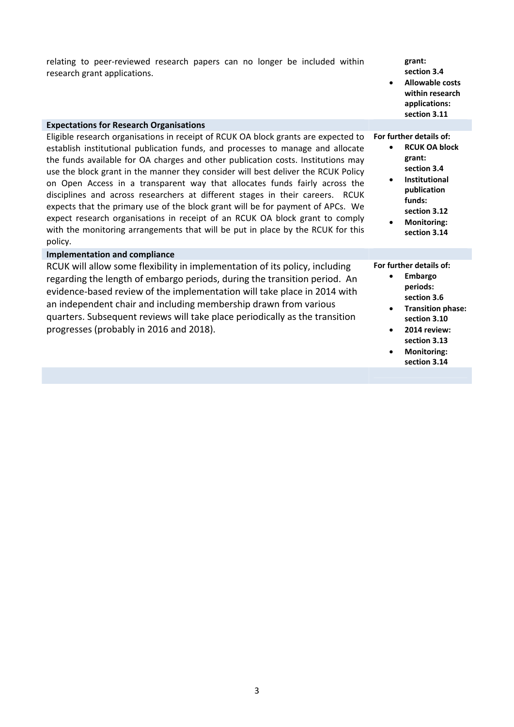| relating to peer-reviewed research papers can no longer be included within<br>research grant applications.                                                                                                                                                                                                                                                                                                                                                                                                                                                                                                                                                                                                                                                                     | grant:<br>section 3.4<br><b>Allowable costs</b><br>$\bullet$<br>within research<br>applications:<br>section 3.11                                                                                          |
|--------------------------------------------------------------------------------------------------------------------------------------------------------------------------------------------------------------------------------------------------------------------------------------------------------------------------------------------------------------------------------------------------------------------------------------------------------------------------------------------------------------------------------------------------------------------------------------------------------------------------------------------------------------------------------------------------------------------------------------------------------------------------------|-----------------------------------------------------------------------------------------------------------------------------------------------------------------------------------------------------------|
| <b>Expectations for Research Organisations</b>                                                                                                                                                                                                                                                                                                                                                                                                                                                                                                                                                                                                                                                                                                                                 |                                                                                                                                                                                                           |
| Eligible research organisations in receipt of RCUK OA block grants are expected to<br>establish institutional publication funds, and processes to manage and allocate<br>the funds available for OA charges and other publication costs. Institutions may<br>use the block grant in the manner they consider will best deliver the RCUK Policy<br>on Open Access in a transparent way that allocates funds fairly across the<br>disciplines and across researchers at different stages in their careers. RCUK<br>expects that the primary use of the block grant will be for payment of APCs. We<br>expect research organisations in receipt of an RCUK OA block grant to comply<br>with the monitoring arrangements that will be put in place by the RCUK for this<br>policy. | For further details of:<br><b>RCUK OA block</b><br>grant:<br>section 3.4<br>Institutional<br>$\bullet$<br>publication<br>funds:<br>section 3.12<br><b>Monitoring:</b><br>section 3.14                     |
| <b>Implementation and compliance</b>                                                                                                                                                                                                                                                                                                                                                                                                                                                                                                                                                                                                                                                                                                                                           |                                                                                                                                                                                                           |
| RCUK will allow some flexibility in implementation of its policy, including<br>regarding the length of embargo periods, during the transition period. An<br>evidence-based review of the implementation will take place in 2014 with<br>an independent chair and including membership drawn from various<br>quarters. Subsequent reviews will take place periodically as the transition<br>progresses (probably in 2016 and 2018).                                                                                                                                                                                                                                                                                                                                             | For further details of:<br>Embargo<br>periods:<br>section 3.6<br><b>Transition phase:</b><br>$\bullet$<br>section 3.10<br>2014 review:<br>$\bullet$<br>section 3.13<br><b>Monitoring:</b><br>section 3.14 |
|                                                                                                                                                                                                                                                                                                                                                                                                                                                                                                                                                                                                                                                                                                                                                                                |                                                                                                                                                                                                           |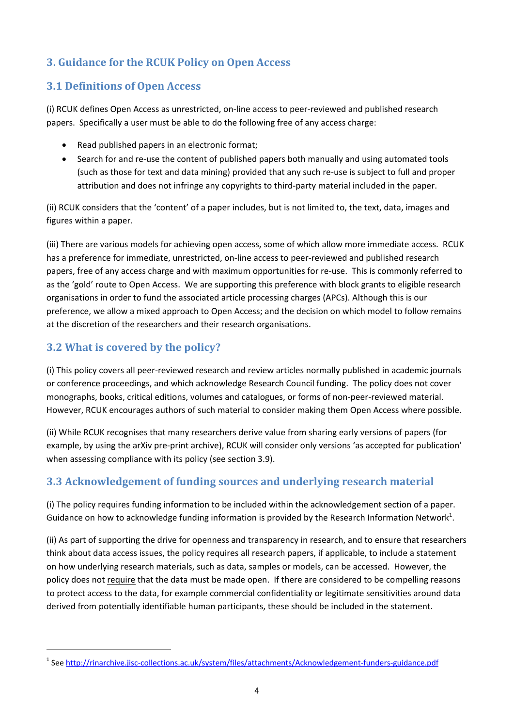# **3. Guidance for the RCUK Policy on Open Access**

## **3.1 Definitions of Open Access**

(i) RCUK defines Open Access as unrestricted, on‐line access to peer‐reviewed and published research papers. Specifically a user must be able to do the following free of any access charge:

- Read published papers in an electronic format;
- Search for and re-use the content of published papers both manually and using automated tools (such as those for text and data mining) provided that any such re‐use is subject to full and proper attribution and does not infringe any copyrights to third‐party material included in the paper.

(ii) RCUK considers that the 'content' of a paper includes, but is not limited to, the text, data, images and figures within a paper.

(iii) There are various models for achieving open access, some of which allow more immediate access. RCUK has a preference for immediate, unrestricted, on-line access to peer-reviewed and published research papers, free of any access charge and with maximum opportunities for re‐use. This is commonly referred to as the 'gold' route to Open Access. We are supporting this preference with block grants to eligible research organisations in order to fund the associated article processing charges (APCs). Although this is our preference, we allow a mixed approach to Open Access; and the decision on which model to follow remains at the discretion of the researchers and their research organisations.

# **3.2 What is covered by the policy?**

(i) This policy covers all peer‐reviewed research and review articles normally published in academic journals or conference proceedings, and which acknowledge Research Council funding. The policy does not cover monographs, books, critical editions, volumes and catalogues, or forms of non‐peer‐reviewed material. However, RCUK encourages authors of such material to consider making them Open Access where possible.

(ii) While RCUK recognises that many researchers derive value from sharing early versions of papers (for example, by using the arXiv pre‐print archive), RCUK will consider only versions 'as accepted for publication' when assessing compliance with its policy (see section 3.9).

# **3.3 Acknowledgement of funding sources and underlying research material**

(i) The policy requires funding information to be included within the acknowledgement section of a paper. Guidance on how to acknowledge funding information is provided by the Research Information Network<sup>1</sup>.

(ii) As part of supporting the drive for openness and transparency in research, and to ensure that researchers think about data access issues, the policy requires all research papers, if applicable, to include a statement on how underlying research materials, such as data, samples or models, can be accessed. However, the policy does not require that the data must be made open. If there are considered to be compelling reasons to protect access to the data, for example commercial confidentiality or legitimate sensitivities around data derived from potentially identifiable human participants, these should be included in the statement.

<sup>&</sup>lt;sup>1</sup> See http://rinarchive.jisc-collections.ac.uk/system/files/attachments/Acknowledgement-funders-guidance.pdf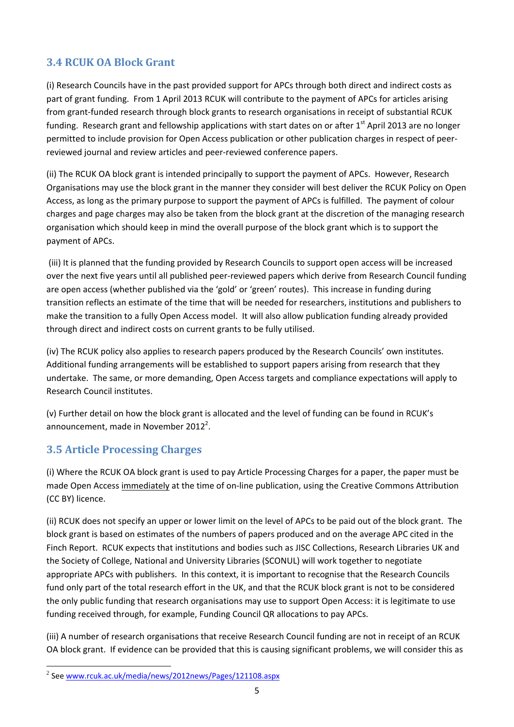# **3.4 RCUK OA Block Grant**

(i) Research Councils have in the past provided support for APCs through both direct and indirect costs as part of grant funding. From 1 April 2013 RCUK will contribute to the payment of APCs for articles arising from grant-funded research through block grants to research organisations in receipt of substantial RCUK funding. Research grant and fellowship applications with start dates on or after 1<sup>st</sup> April 2013 are no longer permitted to include provision for Open Access publication or other publication charges in respect of peer‐ reviewed journal and review articles and peer‐reviewed conference papers.

(ii) The RCUK OA block grant is intended principally to support the payment of APCs. However, Research Organisations may use the block grant in the manner they consider will best deliver the RCUK Policy on Open Access, as long as the primary purpose to support the payment of APCs is fulfilled. The payment of colour charges and page charges may also be taken from the block grant at the discretion of the managing research organisation which should keep in mind the overall purpose of the block grant which is to support the payment of APCs.

(iii) It is planned that the funding provided by Research Councils to support open access will be increased over the next five years until all published peer‐reviewed papers which derive from Research Council funding are open access (whether published via the 'gold' or 'green' routes). This increase in funding during transition reflects an estimate of the time that will be needed for researchers, institutions and publishers to make the transition to a fully Open Access model. It will also allow publication funding already provided through direct and indirect costs on current grants to be fully utilised.

(iv) The RCUK policy also applies to research papers produced by the Research Councils' own institutes. Additional funding arrangements will be established to support papers arising from research that they undertake. The same, or more demanding, Open Access targets and compliance expectations will apply to Research Council institutes.

(v) Further detail on how the block grant is allocated and the level of funding can be found in RCUK's announcement, made in November 2012<sup>2</sup>.

# **3.5 Article Processing Charges**

(i) Where the RCUK OA block grant is used to pay Article Processing Charges for a paper, the paper must be made Open Access immediately at the time of on-line publication, using the Creative Commons Attribution (CC BY) licence.

(ii) RCUK does not specify an upper or lower limit on the level of APCs to be paid out of the block grant. The block grant is based on estimates of the numbers of papers produced and on the average APC cited in the Finch Report. RCUK expects that institutions and bodies such as JISC Collections, Research Libraries UK and the Society of College, National and University Libraries (SCONUL) will work together to negotiate appropriate APCs with publishers. In this context, it is important to recognise that the Research Councils fund only part of the total research effort in the UK, and that the RCUK block grant is not to be considered the only public funding that research organisations may use to support Open Access: it is legitimate to use funding received through, for example, Funding Council QR allocations to pay APCs.

(iii) A number of research organisations that receive Research Council funding are not in receipt of an RCUK OA block grant. If evidence can be provided that this is causing significant problems, we will consider this as

<sup>2</sup> See www.rcuk.ac.uk/media/news/2012news/Pages/121108.aspx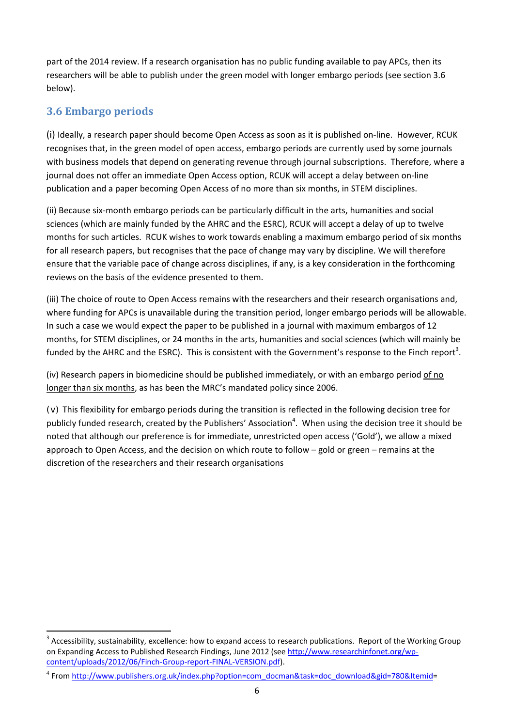part of the 2014 review. If a research organisation has no public funding available to pay APCs, then its researchers will be able to publish under the green model with longer embargo periods (see section 3.6 below).

# **3.6 Embargo periods**

(i) Ideally, a research paper should become Open Access as soon as it is published on‐line. However, RCUK recognises that, in the green model of open access, embargo periods are currently used by some journals with business models that depend on generating revenue through journal subscriptions. Therefore, where a journal does not offer an immediate Open Access option, RCUK will accept a delay between on‐line publication and a paper becoming Open Access of no more than six months, in STEM disciplines.

(ii) Because six‐month embargo periods can be particularly difficult in the arts, humanities and social sciences (which are mainly funded by the AHRC and the ESRC), RCUK will accept a delay of up to twelve months for such articles. RCUK wishes to work towards enabling a maximum embargo period of six months for all research papers, but recognises that the pace of change may vary by discipline. We will therefore ensure that the variable pace of change across disciplines, if any, is a key consideration in the forthcoming reviews on the basis of the evidence presented to them.

(iii) The choice of route to Open Access remains with the researchers and their research organisations and, where funding for APCs is unavailable during the transition period, longer embargo periods will be allowable. In such a case we would expect the paper to be published in a journal with maximum embargos of 12 months, for STEM disciplines, or 24 months in the arts, humanities and social sciences (which will mainly be funded by the AHRC and the ESRC). This is consistent with the Government's response to the Finch report<sup>3</sup>.

(iv) Research papers in biomedicine should be published immediately, or with an embargo period of no longer than six months, as has been the MRC's mandated policy since 2006.

(v) This flexibility for embargo periods during the transition is reflected in the following decision tree for publicly funded research, created by the Publishers' Association<sup>4</sup>. When using the decision tree it should be noted that although our preference is for immediate, unrestricted open access ('Gold'), we allow a mixed approach to Open Access, and the decision on which route to follow – gold or green – remains at the discretion of the researchers and their research organisations

<sup>&</sup>lt;sup>3</sup> Accessibility, sustainability, excellence: how to expand access to research publications. Report of the Working Group on Expanding Access to Published Research Findings, June 2012 (see http://www.researchinfonet.org/wp‐ content/uploads/2012/06/Finch‐Group‐report‐FINAL‐VERSION.pdf).

<sup>&</sup>lt;sup>4</sup> From http://www.publishers.org.uk/index.php?option=com\_docman&task=doc\_download&gid=780&Itemid=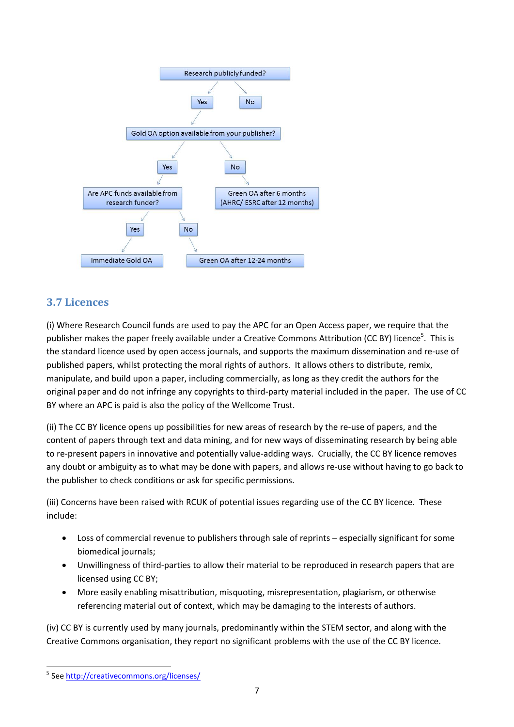

# **3.7 Licences**

(i) Where Research Council funds are used to pay the APC for an Open Access paper, we require that the publisher makes the paper freely available under a Creative Commons Attribution (CC BY) licence<sup>5</sup>. This is the standard licence used by open access journals, and supports the maximum dissemination and re‐use of published papers, whilst protecting the moral rights of authors. It allows others to distribute, remix, manipulate, and build upon a paper, including commercially, as long as they credit the authors for the original paper and do not infringe any copyrights to third‐party material included in the paper. The use of CC BY where an APC is paid is also the policy of the Wellcome Trust.

(ii) The CC BY licence opens up possibilities for new areas of research by the re‐use of papers, and the content of papers through text and data mining, and for new ways of disseminating research by being able to re-present papers in innovative and potentially value-adding ways. Crucially, the CC BY licence removes any doubt or ambiguity as to what may be done with papers, and allows re-use without having to go back to the publisher to check conditions or ask for specific permissions.

(iii) Concerns have been raised with RCUK of potential issues regarding use of the CC BY licence. These include:

- Loss of commercial revenue to publishers through sale of reprints especially significant for some biomedical journals;
- Unwillingness of third-parties to allow their material to be reproduced in research papers that are licensed using CC BY;
- More easily enabling misattribution, misquoting, misrepresentation, plagiarism, or otherwise referencing material out of context, which may be damaging to the interests of authors.

(iv) CC BY is currently used by many journals, predominantly within the STEM sector, and along with the Creative Commons organisation, they report no significant problems with the use of the CC BY licence.

 <sup>5</sup> See http://creativecommons.org/licenses/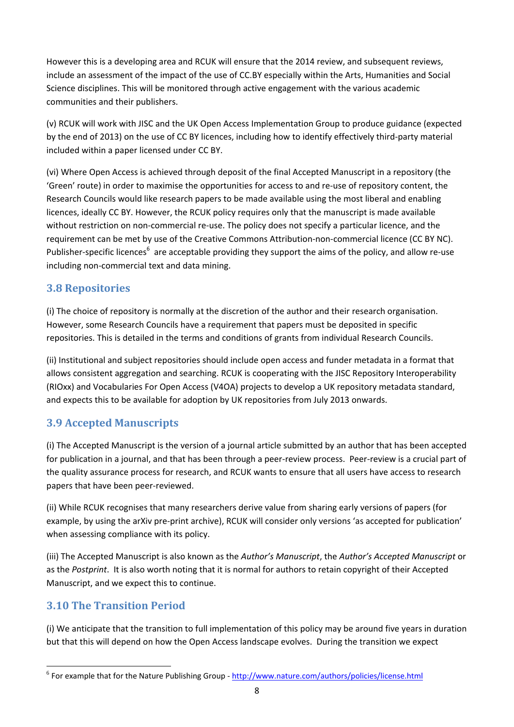However this is a developing area and RCUK will ensure that the 2014 review, and subsequent reviews, include an assessment of the impact of the use of CC.BY especially within the Arts, Humanities and Social Science disciplines. This will be monitored through active engagement with the various academic communities and their publishers.

(v) RCUK will work with JISC and the UK Open Access Implementation Group to produce guidance (expected by the end of 2013) on the use of CC BY licences, including how to identify effectively third‐party material included within a paper licensed under CC BY.

(vi) Where Open Access is achieved through deposit of the final Accepted Manuscript in a repository (the 'Green' route) in order to maximise the opportunities for access to and re‐use of repository content, the Research Councils would like research papers to be made available using the most liberal and enabling licences, ideally CC BY. However, the RCUK policy requires only that the manuscript is made available without restriction on non-commercial re-use. The policy does not specify a particular licence, and the requirement can be met by use of the Creative Commons Attribution-non-commercial licence (CC BY NC). Publisher-specific licences<sup>6</sup> are acceptable providing they support the aims of the policy, and allow re-use including non‐commercial text and data mining.

## **3.8 Repositories**

(i) The choice of repository is normally at the discretion of the author and their research organisation. However, some Research Councils have a requirement that papers must be deposited in specific repositories. This is detailed in the terms and conditions of grants from individual Research Councils.

(ii) Institutional and subject repositories should include open access and funder metadata in a format that allows consistent aggregation and searching. RCUK is cooperating with the JISC Repository Interoperability (RIOxx) and Vocabularies For Open Access (V4OA) projects to develop a UK repository metadata standard, and expects this to be available for adoption by UK repositories from July 2013 onwards.

# **3.9 Accepted Manuscripts**

(i) The Accepted Manuscript is the version of a journal article submitted by an author that has been accepted for publication in a journal, and that has been through a peer-review process. Peer-review is a crucial part of the quality assurance process for research, and RCUK wants to ensure that all users have access to research papers that have been peer-reviewed.

(ii) While RCUK recognises that many researchers derive value from sharing early versions of papers (for example, by using the arXiv pre‐print archive), RCUK will consider only versions 'as accepted for publication' when assessing compliance with its policy.

(iii) The Accepted Manuscript is also known as the *Author's Manuscript*, the *Author's Accepted Manuscript* or as the *Postprint*. It is also worth noting that it is normal for authors to retain copyright of their Accepted Manuscript, and we expect this to continue.

#### **3.10 The Transition Period**

(i) We anticipate that the transition to full implementation of this policy may be around five years in duration but that this will depend on how the Open Access landscape evolves. During the transition we expect

<sup>&</sup>lt;sup>6</sup> For example that for the Nature Publishing Group - http://www.nature.com/authors/policies/license.html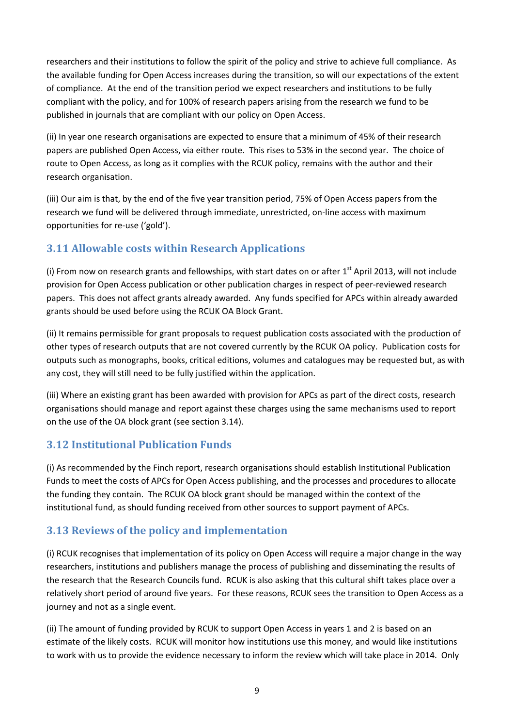researchers and their institutions to follow the spirit of the policy and strive to achieve full compliance. As the available funding for Open Access increases during the transition, so will our expectations of the extent of compliance. At the end of the transition period we expect researchers and institutions to be fully compliant with the policy, and for 100% of research papers arising from the research we fund to be published in journals that are compliant with our policy on Open Access.

(ii) In year one research organisations are expected to ensure that a minimum of 45% of their research papers are published Open Access, via either route. This rises to 53% in the second year. The choice of route to Open Access, as long as it complies with the RCUK policy, remains with the author and their research organisation.

(iii) Our aim is that, by the end of the five year transition period, 75% of Open Access papers from the research we fund will be delivered through immediate, unrestricted, on‐line access with maximum opportunities for re‐use ('gold').

# **3.11 Allowable costs within Research Applications**

(i) From now on research grants and fellowships, with start dates on or after  $1<sup>st</sup>$  April 2013, will not include provision for Open Access publication or other publication charges in respect of peer‐reviewed research papers. This does not affect grants already awarded. Any funds specified for APCs within already awarded grants should be used before using the RCUK OA Block Grant.

(ii) It remains permissible for grant proposals to request publication costs associated with the production of other types of research outputs that are not covered currently by the RCUK OA policy. Publication costs for outputs such as monographs, books, critical editions, volumes and catalogues may be requested but, as with any cost, they will still need to be fully justified within the application.

(iii) Where an existing grant has been awarded with provision for APCs as part of the direct costs, research organisations should manage and report against these charges using the same mechanisms used to report on the use of the OA block grant (see section 3.14).

# **3.12 Institutional Publication Funds**

(i) As recommended by the Finch report, research organisations should establish Institutional Publication Funds to meet the costs of APCs for Open Access publishing, and the processes and procedures to allocate the funding they contain. The RCUK OA block grant should be managed within the context of the institutional fund, as should funding received from other sources to support payment of APCs.

# **3.13 Reviews of the policy and implementation**

(i) RCUK recognises that implementation of its policy on Open Access will require a major change in the way researchers, institutions and publishers manage the process of publishing and disseminating the results of the research that the Research Councils fund. RCUK is also asking that this cultural shift takes place over a relatively short period of around five years. For these reasons, RCUK sees the transition to Open Access as a journey and not as a single event.

(ii) The amount of funding provided by RCUK to support Open Access in years 1 and 2 is based on an estimate of the likely costs. RCUK will monitor how institutions use this money, and would like institutions to work with us to provide the evidence necessary to inform the review which will take place in 2014. Only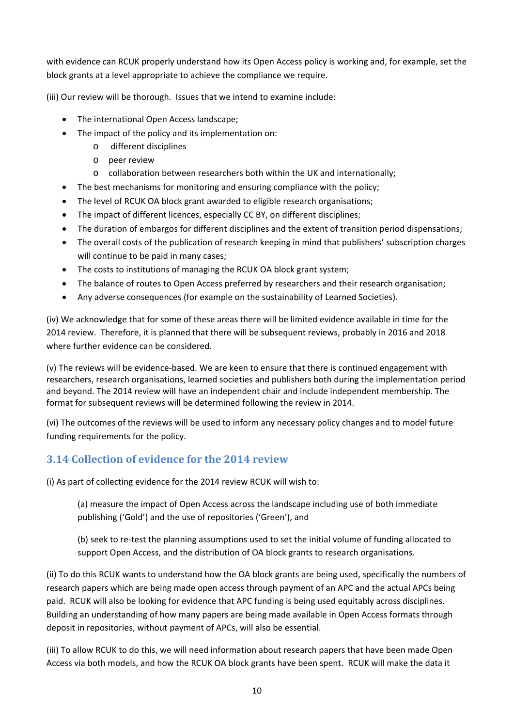with evidence can RCUK properly understand how its Open Access policy is working and, for example, set the block grants at a level appropriate to achieve the compliance we require.

(iii) Our review will be thorough. Issues that we intend to examine include:

- The international Open Access landscape:
- The impact of the policy and its implementation on:
	- o different disciplines
		- o peer review
		- o collaboration between researchers both within the UK and internationally;
- The best mechanisms for monitoring and ensuring compliance with the policy;
- The level of RCUK OA block grant awarded to eligible research organisations;
- The impact of different licences, especially CC BY, on different disciplines;
- The duration of embargos for different disciplines and the extent of transition period dispensations;
- The overall costs of the publication of research keeping in mind that publishers' subscription charges will continue to be paid in many cases;
- The costs to institutions of managing the RCUK OA block grant system;
- The balance of routes to Open Access preferred by researchers and their research organisation;
- Any adverse consequences (for example on the sustainability of Learned Societies).

(iv) We acknowledge that for some of these areas there will be limited evidence available in time for the 2014 review. Therefore, it is planned that there will be subsequent reviews, probably in 2016 and 2018 where further evidence can be considered.

(v) The reviews will be evidence‐based. We are keen to ensure that there is continued engagement with researchers, research organisations, learned societies and publishers both during the implementation period and beyond. The 2014 review will have an independent chair and include independent membership. The format for subsequent reviews will be determined following the review in 2014.

(vi) The outcomes of the reviews will be used to inform any necessary policy changes and to model future funding requirements for the policy.

# **3.14 Collection of evidence for the 2014 review**

(i) As part of collecting evidence for the 2014 review RCUK will wish to:

(a) measure the impact of Open Access across the landscape including use of both immediate publishing ('Gold') and the use of repositories ('Green'), and

(b) seek to re‐test the planning assumptions used to set the initial volume of funding allocated to support Open Access, and the distribution of OA block grants to research organisations.

(ii) To do this RCUK wants to understand how the OA block grants are being used, specifically the numbers of research papers which are being made open access through payment of an APC and the actual APCs being paid. RCUK will also be looking for evidence that APC funding is being used equitably across disciplines. Building an understanding of how many papers are being made available in Open Access formats through deposit in repositories, without payment of APCs, will also be essential.

(iii) To allow RCUK to do this, we will need information about research papers that have been made Open Access via both models, and how the RCUK OA block grants have been spent. RCUK will make the data it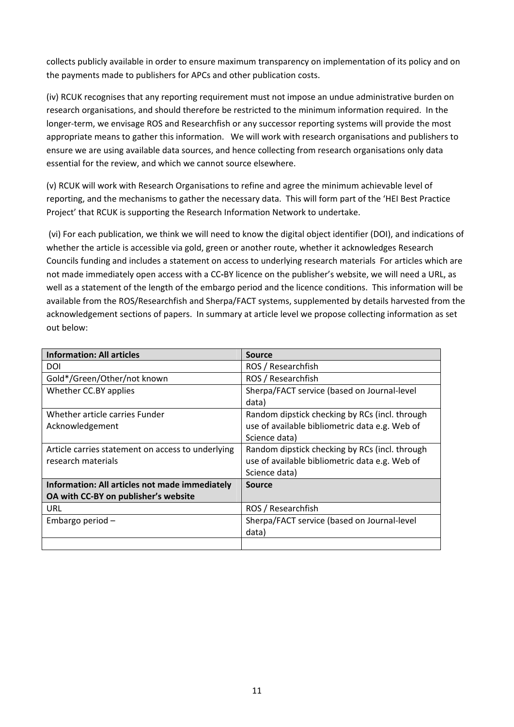collects publicly available in order to ensure maximum transparency on implementation of its policy and on the payments made to publishers for APCs and other publication costs.

(iv) RCUK recognises that any reporting requirement must not impose an undue administrative burden on research organisations, and should therefore be restricted to the minimum information required. In the longer-term, we envisage ROS and Researchfish or any successor reporting systems will provide the most appropriate means to gather this information. We will work with research organisations and publishers to ensure we are using available data sources, and hence collecting from research organisations only data essential for the review, and which we cannot source elsewhere.

(v) RCUK will work with Research Organisations to refine and agree the minimum achievable level of reporting, and the mechanisms to gather the necessary data. This will form part of the 'HEI Best Practice Project' that RCUK is supporting the Research Information Network to undertake.

(vi) For each publication, we think we will need to know the digital object identifier (DOI), and indications of whether the article is accessible via gold, green or another route, whether it acknowledges Research Councils funding and includes a statement on access to underlying research materials For articles which are not made immediately open access with a CC**‐**BY licence on the publisher's website, we will need a URL, as well as a statement of the length of the embargo period and the licence conditions. This information will be available from the ROS/Researchfish and Sherpa/FACT systems, supplemented by details harvested from the acknowledgement sections of papers. In summary at article level we propose collecting information as set out below:

| <b>Information: All articles</b>                  | <b>Source</b>                                  |
|---------------------------------------------------|------------------------------------------------|
| DOI                                               | ROS / Researchfish                             |
| Gold*/Green/Other/not known                       | ROS / Researchfish                             |
| Whether CC.BY applies                             | Sherpa/FACT service (based on Journal-level    |
|                                                   | data)                                          |
| Whether article carries Funder                    | Random dipstick checking by RCs (incl. through |
| Acknowledgement                                   | use of available bibliometric data e.g. Web of |
|                                                   | Science data)                                  |
| Article carries statement on access to underlying | Random dipstick checking by RCs (incl. through |
| research materials                                | use of available bibliometric data e.g. Web of |
|                                                   | Science data)                                  |
| Information: All articles not made immediately    | <b>Source</b>                                  |
| OA with CC-BY on publisher's website              |                                                |
| URL                                               | ROS / Researchfish                             |
| Embargo period-                                   | Sherpa/FACT service (based on Journal-level    |
|                                                   | data)                                          |
|                                                   |                                                |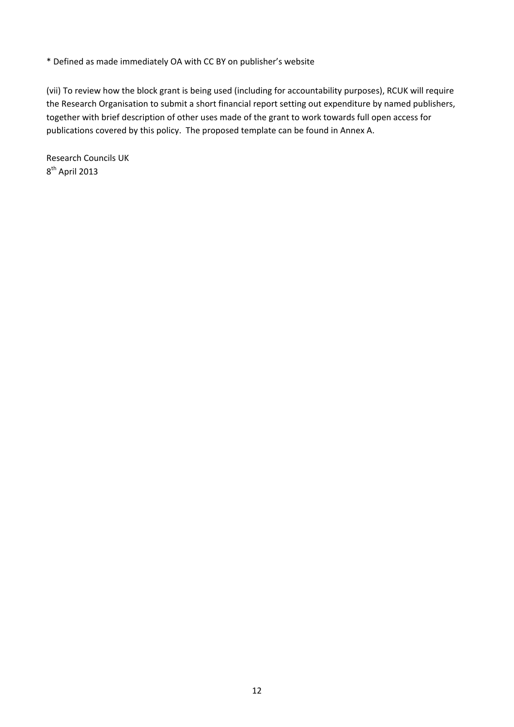\* Defined as made immediately OA with CC BY on publisher's website

(vii) To review how the block grant is being used (including for accountability purposes), RCUK will require the Research Organisation to submit a short financial report setting out expenditure by named publishers, together with brief description of other uses made of the grant to work towards full open access for publications covered by this policy. The proposed template can be found in Annex A.

Research Councils UK 8th April 2013